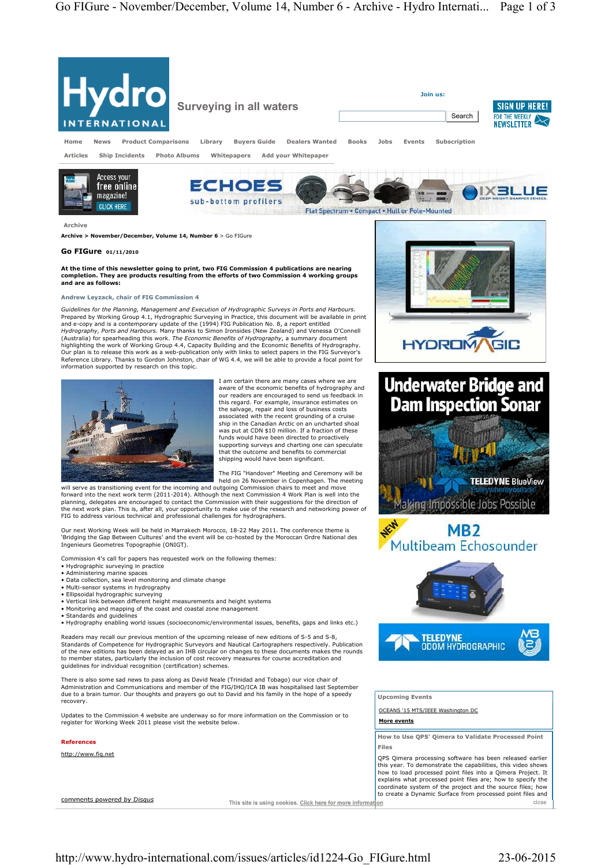

this year. To demonstrate the capabilities, this video shows how to load processed point files into a Qimera Project. It explains what processed point files are; how to specify the coordinate system of the project and the source files; how to create a Dynamic Surface from processed point files and close

comments powered by Disaus

This site is using cookies. Click here for more information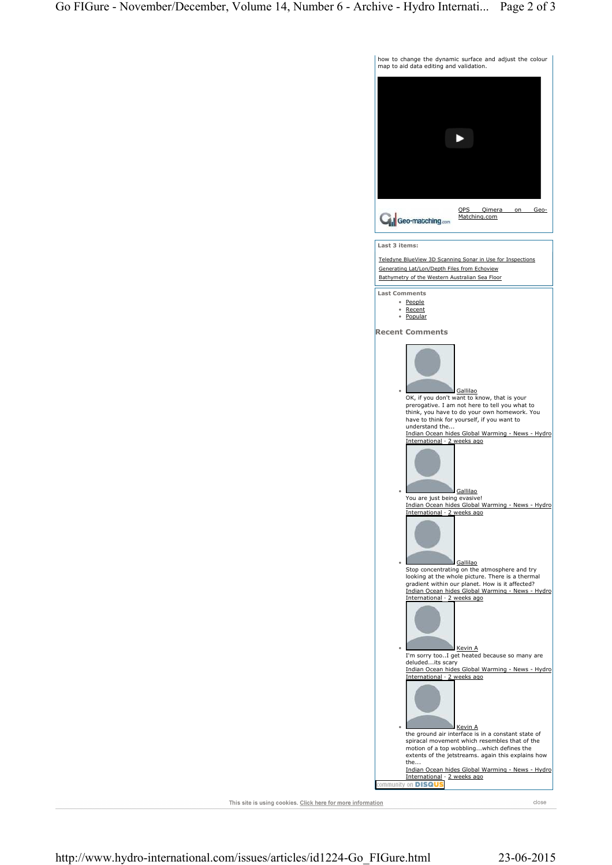

This site is using cookies. Click here for more information